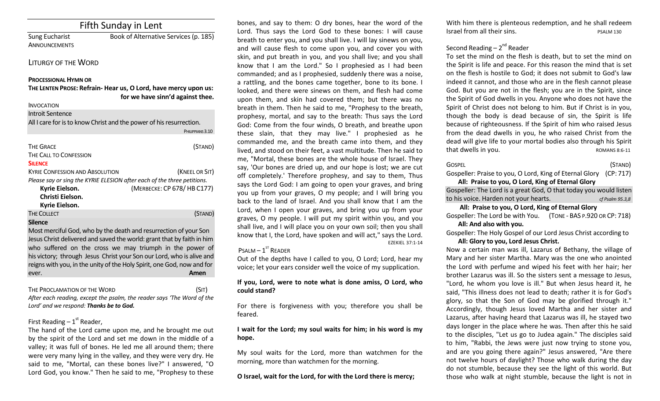| Fifth Sunday in Lent                                                                          |                                       |  |
|-----------------------------------------------------------------------------------------------|---------------------------------------|--|
| Sung Eucharist                                                                                | Book of Alternative Services (p. 185) |  |
| <b>ANNOUNCEMENTS</b>                                                                          |                                       |  |
| <b>LITURGY OF THE WORD</b>                                                                    |                                       |  |
| <b>PROCESSIONAL HYMN OR</b><br>THE LENTEN PROSE: Refrain-Hear us, O Lord, have mercy upon us: |                                       |  |
|                                                                                               | for we have sinn'd against thee.      |  |

INVOCATION Introit Sentence All I care for is to know Christ and the power of his resurrection. PHILIPPIANS 3.10 THE GRACE (STAND) THE CALL TO CONFESSION **SILENCE** KYRIE CONFESSION AND ABSOLUTION(KNEEL OR SIT) *Please say or sing the KYRIE ELESION after each of the three petitions.*  **Kyrie Eielson.** (MERBECKE: CP 678/ HB C177) **Christi Eielson. Kyrie Eielson.** THE COLLECT **THE COLLECT COLLECT COLLECT COLLECT COLLECT COLLECT COLLECT COLLECT COLLECT COLLECT Silence** Most merciful God, who by the death and resurrection of your Son Jesus Christ delivered and saved the world: grant that by faith in him who suffered on the cross we may triumph in the power of his victory; through Jesus Christ your Son our Lord, who is alive and reigns with you, in the unity of the Holy Spirit, one God, now and for ever. **Amen**

#### THE PROCLAMATION OF THE WORD (SIT)

*After each reading, except the psalm, the reader says 'The Word of the Lord' and we respond: Thanks be to God.* 

## First Reading  $-1<sup>st</sup>$  Reader,

The hand of the Lord came upon me, and he brought me out by the spirit of the Lord and set me down in the middle of a valley; it was full of bones. He led me all around them; there were very many lying in the valley, and they were very dry. He said to me, "Mortal, can these bones live?" I answered, "O Lord God, you know." Then he said to me, "Prophesy to these

bones, and say to them: O dry bones, hear the word of the Lord. Thus says the Lord God to these bones: I will cause breath to enter you, and you shall live. I will lay sinews on you, and will cause flesh to come upon you, and cover you with skin, and put breath in you, and you shall live; and you shall know that I am the Lord." So I prophesied as I had been commanded; and as I prophesied, suddenly there was a noise, a rattling, and the bones came together, bone to its bone. I looked, and there were sinews on them, and flesh had come upon them, and skin had covered them; but there was no breath in them. Then he said to me, "Prophesy to the breath, prophesy, mortal, and say to the breath: Thus says the Lord God: Come from the four winds, O breath, and breathe upon these slain, that they may live." I prophesied as he commanded me, and the breath came into them, and they lived, and stood on their feet, a vast multitude. Then he said to me, "Mortal, these bones are the whole house of Israel. They say, 'Our bones are dried up, and our hope is lost; we are cut off completely.' Therefore prophesy, and say to them, Thus says the Lord God: I am going to open your graves, and bring you up from your graves, O my people; and I will bring you back to the land of Israel. And you shall know that I am the Lord, when I open your graves, and bring you up from your graves, O my people. I will put my spirit within you, and you shall live, and I will place you on your own soil; then you shall know that I, the Lord, have spoken and will act," says the Lord. EZEKIEL 37:1-14

## $P$ SALM  $-1$ <sup>ST</sup> READER

Out of the depths have I called to you, O Lord; Lord, hear my voice; let your ears consider well the voice of my supplication.

## **If you, Lord, were to note what is done amiss, O Lord, who could stand?**

For there is forgiveness with you; therefore you shall be feared.

## **I wait for the Lord; my soul waits for him; in his word is my hope.**

My soul waits for the Lord, more than watchmen for the morning, more than watchmen for the morning.

**O Israel, wait for the Lord, for with the Lord there is mercy;** 

With him there is plenteous redemption, and he shall redeem Israel from all their sins. The example of the pSALM 130

# Second Reading – 2<sup>nd</sup> Reader

To set the mind on the flesh is death, but to set the mind on the Spirit is life and peace. For this reason the mind that is set on the flesh is hostile to God; it does not submit to God's law indeed it cannot, and those who are in the flesh cannot please God. But you are not in the flesh; you are in the Spirit, since the Spirit of God dwells in you. Anyone who does not have the Spirit of Christ does not belong to him. But if Christ is in you, though the body is dead because of sin, the Spirit is life because of righteousness. If the Spirit of him who raised Jesus from the dead dwells in you, he who raised Christ from the dead will give life to your mortal bodies also through his Spirit that dwells in you. The second second second second second second second second second second second second second second second second second second second second second second second second second second second second se

GOSPEL (STAND) Gospeller: Praise to you, O Lord, King of Eternal Glory (CP: 717) **All: Praise to you, O Lord, King of Eternal Glory**

Gospeller: The Lord is a great God, O that today you would listen to his voice. Harden not your hearts. *cf Psalm 95.3,8*

## **All: Praise to you, O Lord, King of Eternal Glory**

Gospeller: The Lord be with You. (TONE - BAS P.920 OR CP: 718) **All: And also with you.** 

Gospeller: The Holy Gospel of our Lord Jesus Christ according to **All: Glory to you, Lord Jesus Christ.**

## Now a certain man was ill, Lazarus of Bethany, the village of Mary and her sister Martha. Mary was the one who anointed the Lord with perfume and wiped his feet with her hair; her brother Lazarus was ill. So the sisters sent a message to Jesus, "Lord, he whom you love is ill." But when Jesus heard it, he said, "This illness does not lead to death; rather it is for God's glory, so that the Son of God may be glorified through it." Accordingly, though Jesus loved Martha and her sister and Lazarus, after having heard that Lazarus was ill, he stayed two days longer in the place where he was. Then after this he said to the disciples, "Let us go to Judea again." The disciples said to him, "Rabbi, the Jews were just now trying to stone you, and are you going there again?" Jesus answered, "Are there not twelve hours of daylight? Those who walk during the day do not stumble, because they see the light of this world. But those who walk at night stumble, because the light is not in